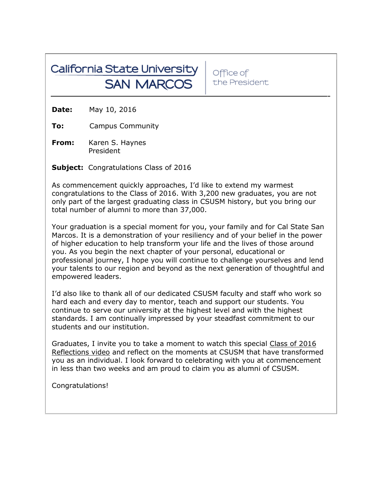## California State University **SAN MARCOS**

Office of the President

**Date:** May 10, 2016

**To:** Campus Community

**From:** Karen S. Haynes President

**Subject:** Congratulations Class of 2016

As commencement quickly approaches, I'd like to extend my warmest congratulations to the Class of 2016. With 3,200 new graduates, you are not only part of the largest graduating class in CSUSM history, but you bring our total number of alumni to more than 37,000.

Your graduation is a special moment for you, your family and for Cal State San Marcos. It is a demonstration of your resiliency and of your belief in the power of higher education to help transform your life and the lives of those around you. As you begin the next chapter of your personal, educational or professional journey, I hope you will continue to challenge yourselves and lend your talents to our region and beyond as the next generation of thoughtful and empowered leaders.

I'd also like to thank all of our dedicated CSUSM faculty and staff who work so hard each and every day to mentor, teach and support our students. You continue to serve our university at the highest level and with the highest standards. I am continually impressed by your steadfast commitment to our students and our institution.

Graduates, I invite you to take a moment to watch this special Class of 2016 [Reflections video](https://www.youtube.com/watch?v=xKaKvdM_ZHA&feature=youtu.be) and reflect on the moments at CSUSM that have transformed you as an individual. I look forward to celebrating with you at commencement in less than two weeks and am proud to claim you as alumni of CSUSM.

Congratulations!